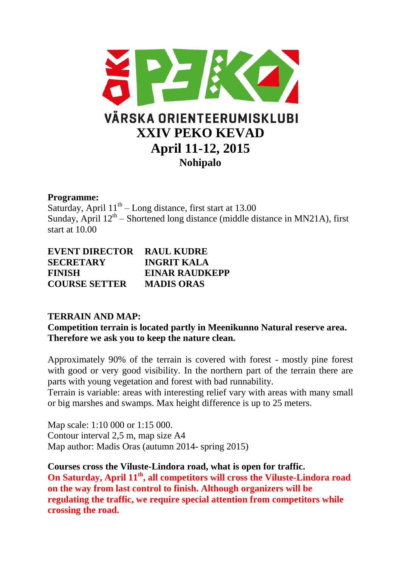

### **Programme:**

Saturday, April  $11<sup>th</sup> - Long distance$ , first start at 13.00 Sunday, April  $12<sup>th</sup>$  – Shortened long distance (middle distance in MN21A), first start at 10.00

| <b>EVENT DIRECTOR</b> | <b>RAUL KUDRE</b>     |
|-----------------------|-----------------------|
| <b>SECRETARY</b>      | <b>INGRIT KALA</b>    |
| <b>FINISH</b>         | <b>EINAR RAUDKEPP</b> |
| <b>COURSE SETTER</b>  | <b>MADIS ORAS</b>     |

# **TERRAIN AND MAP:**

**Competition terrain is located partly in Meenikunno Natural reserve area. Therefore we ask you to keep the nature clean.** 

Approximately 90% of the terrain is covered with forest - mostly pine forest with good or very good visibility. In the northern part of the terrain there are parts with young vegetation and forest with bad runnability.

Terrain is variable: areas with interesting relief vary with areas with many small or big marshes and swamps. Max height difference is up to 25 meters.

Map scale: 1:10 000 or 1:15 000. Contour interval 2,5 m, map size A4 Map author: Madis Oras (autumn 2014- spring 2015)

**Courses cross the Viluste-Lindora road, what is open for traffic. On Saturday, April 11th, all competitors will cross the Viluste-Lindora road on the way from last control to finish. Although organizers will be regulating the traffic, we require special attention from competitors while crossing the road.**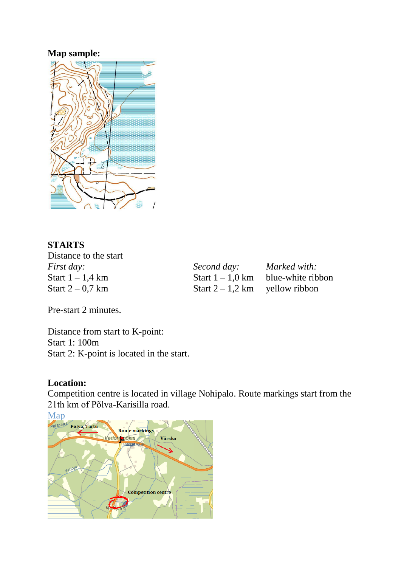# **Map sample:**



# **STARTS**

Distance to the start *First day: Second day: Marked with:*<br> **Start** 1 – 1,4 km **Start** 1 – 1,0 km **blue-white rib** Start 1 – 1,4 km<br>Start 1 – 1,0 km blue-white ribbon<br>Start 2 – 0,7 km Start 2 – 1,2 km yellow ribbon

Start  $2 - 1,2$  km yellow ribbon

Pre-start 2 minutes.

Distance from start to K-point: Start 1: 100m Start 2: K-point is located in the start.

#### **Location:**

Competition centre is located in village Nohipalo. Route markings start from the 21th km of Põlva-Karisilla road.

[Map](http://kaart.postimees.ee/?zoom=5&lat=6432252.66406&lon=699967.71094&layers=B00TTTT&id=89002)<br>Pahtpaal Põlva, Tartu Route markings Veriora põisa Värska **Competition centre**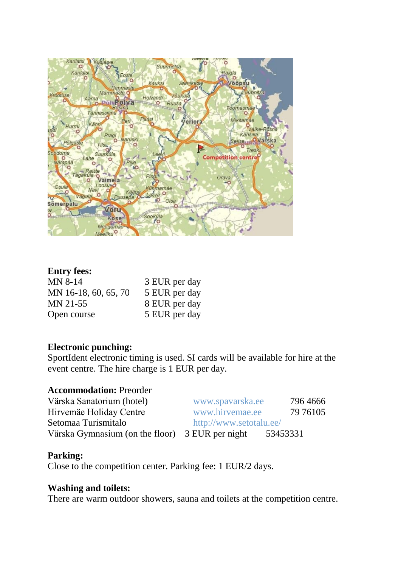

# **Entry fees:**

| MN 8-14              | 3 EUR per day |
|----------------------|---------------|
| MN 16-18, 60, 65, 70 | 5 EUR per day |
| MN 21-55             | 8 EUR per day |
| Open course          | 5 EUR per day |

### **Electronic punching:**

SportIdent electronic timing is used. SI cards will be available for hire at the event centre. The hire charge is 1 EUR per day.

#### **Accommodation:** Preorder

| Värska Sanatorium (hotel)                       | www.spavarska.ee        | 796 4666 |
|-------------------------------------------------|-------------------------|----------|
| Hirvemäe Holiday Centre                         | www.hirvemae.ee         | 79 76105 |
| Setomaa Turismitalo                             | http://www.setotalu.ee/ |          |
| Värska Gymnasium (on the floor) 3 EUR per night |                         | 53453331 |

# **Parking:**

Close to the competition center. Parking fee: 1 EUR/2 days.

#### **Washing and toilets:**

There are warm outdoor showers, sauna and toilets at the competition centre.